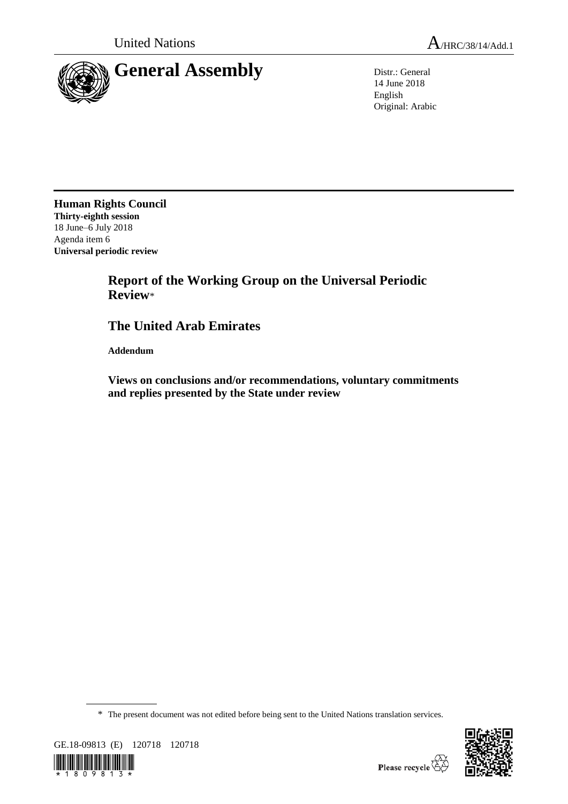



14 June 2018 English Original: Arabic

**Human Rights Council Thirty-eighth session** 18 June–6 July 2018 Agenda item 6 **Universal periodic review**

## **Report of the Working Group on the Universal Periodic Review**\*

## **The United Arab Emirates**

**Addendum**

**Views on conclusions and/or recommendations, voluntary commitments and replies presented by the State under review**

\* The present document was not edited before being sent to the United Nations translation services.